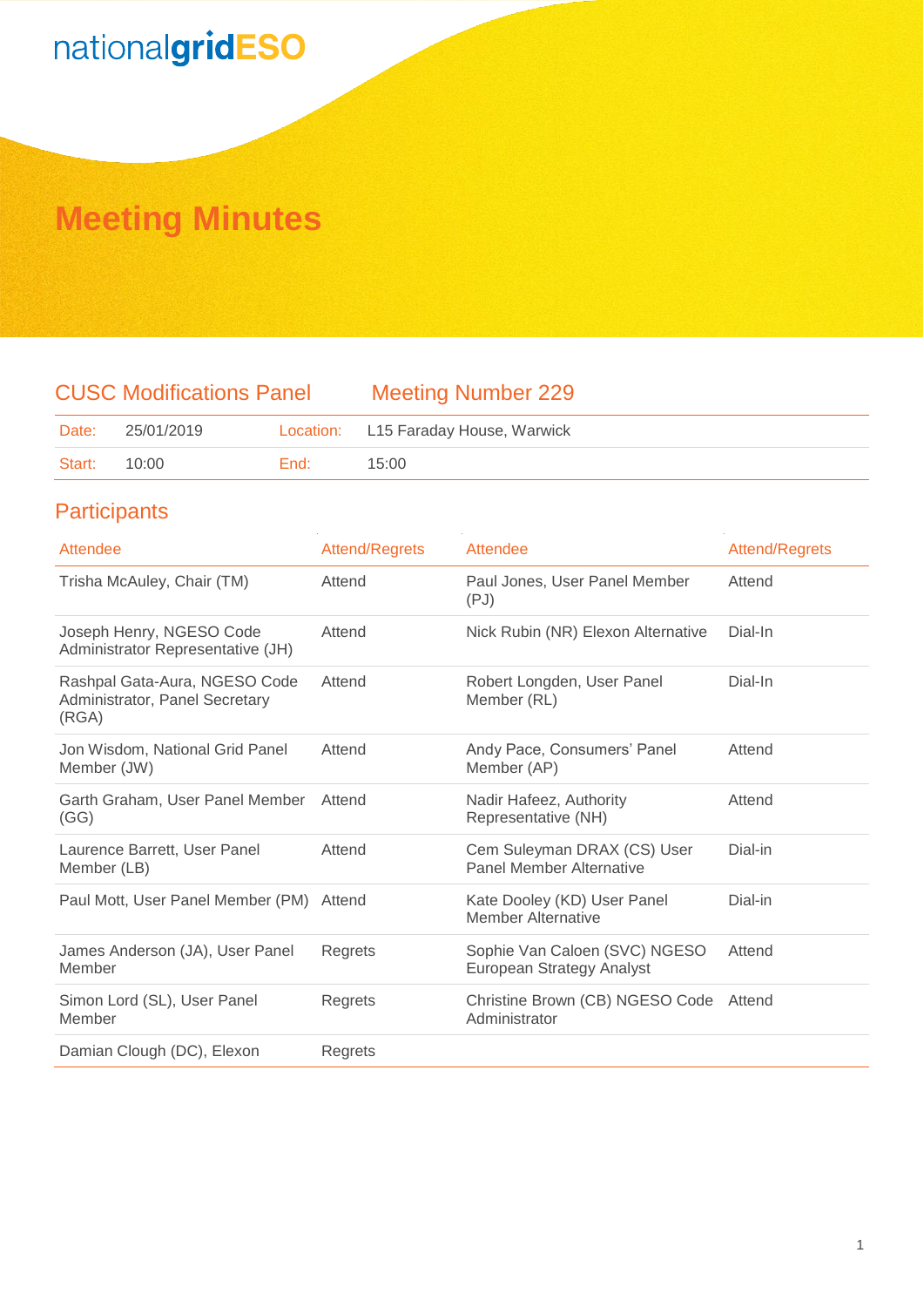### **Meeting Minutes**

### CUSC Modifications Panel Meeting Number 229

| Date:        | 25/01/2019 |      | Location: L15 Faraday House, Warwick |
|--------------|------------|------|--------------------------------------|
| Start: 10:00 |            | End: | 15:00                                |

### **Participants**

| Attendee                                                                 | <b>Attend/Regrets</b> | Attendee                                                   | <b>Attend/Regrets</b> |
|--------------------------------------------------------------------------|-----------------------|------------------------------------------------------------|-----------------------|
| Trisha McAuley, Chair (TM)                                               | Attend                | Paul Jones, User Panel Member<br>(PJ)                      | Attend                |
| Joseph Henry, NGESO Code<br>Administrator Representative (JH)            | Attend                | Nick Rubin (NR) Elexon Alternative                         | Dial-In               |
| Rashpal Gata-Aura, NGESO Code<br>Administrator, Panel Secretary<br>(RGA) | Attend                | Robert Longden, User Panel<br>Member (RL)                  | Dial-In               |
| Jon Wisdom, National Grid Panel<br>Member (JW)                           | Attend                | Andy Pace, Consumers' Panel<br>Member (AP)                 | Attend                |
| Garth Graham, User Panel Member<br>(GG)                                  | Attend                | Nadir Hafeez, Authority<br>Representative (NH)             | Attend                |
| Laurence Barrett, User Panel<br>Member (LB)                              | Attend                | Cem Suleyman DRAX (CS) User<br>Panel Member Alternative    | Dial-in               |
| Paul Mott, User Panel Member (PM)                                        | Attend                | Kate Dooley (KD) User Panel<br><b>Member Alternative</b>   | Dial-in               |
| James Anderson (JA), User Panel<br>Member                                | Regrets               | Sophie Van Caloen (SVC) NGESO<br>European Strategy Analyst | Attend                |
| Simon Lord (SL), User Panel<br>Member                                    | Regrets               | Christine Brown (CB) NGESO Code<br>Administrator           | Attend                |
| Damian Clough (DC), Elexon                                               | Regrets               |                                                            |                       |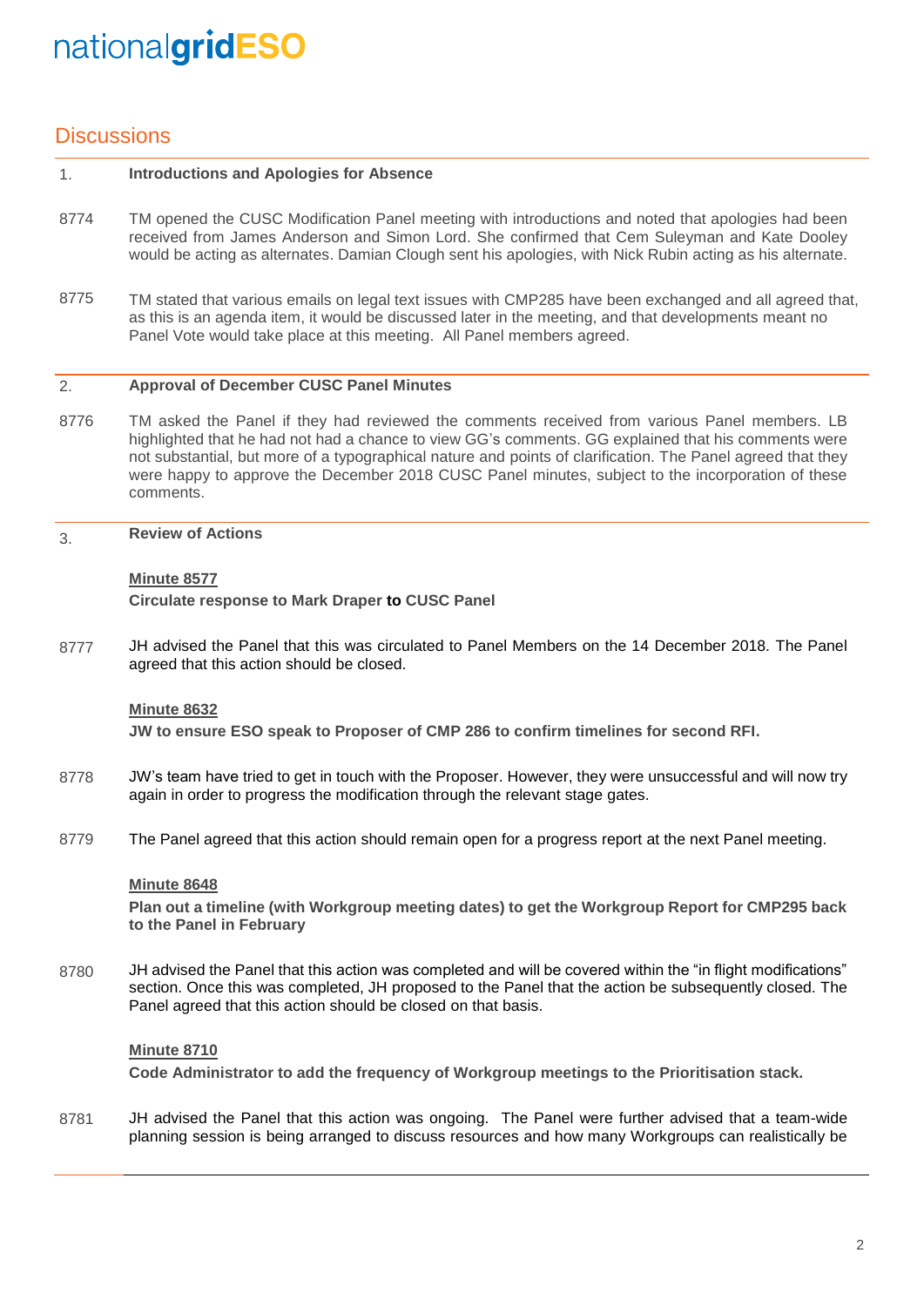### **Discussions**

#### 1. **Introductions and Apologies for Absence**

- 8774 TM opened the CUSC Modification Panel meeting with introductions and noted that apologies had been received from James Anderson and Simon Lord. She confirmed that Cem Suleyman and Kate Dooley would be acting as alternates. Damian Clough sent his apologies, with Nick Rubin acting as his alternate.
- 8775 TM stated that various emails on legal text issues with CMP285 have been exchanged and all agreed that, as this is an agenda item, it would be discussed later in the meeting, and that developments meant no Panel Vote would take place at this meeting. All Panel members agreed.

#### 2. **Approval of December CUSC Panel Minutes**

- 8776 TM asked the Panel if they had reviewed the comments received from various Panel members. LB highlighted that he had not had a chance to view GG's comments. GG explained that his comments were not substantial, but more of a typographical nature and points of clarification. The Panel agreed that they were happy to approve the December 2018 CUSC Panel minutes, subject to the incorporation of these comments.
- 3. **Review of Actions**

### **Minute 8577**

**Circulate response to Mark Draper to CUSC Panel** 

8777 JH advised the Panel that this was circulated to Panel Members on the 14 December 2018. The Panel agreed that this action should be closed.

#### **Minute 8632**

**JW to ensure ESO speak to Proposer of CMP 286 to confirm timelines for second RFI.**

- 8778 JW's team have tried to get in touch with the Proposer. However, they were unsuccessful and will now try again in order to progress the modification through the relevant stage gates.
- 8779 The Panel agreed that this action should remain open for a progress report at the next Panel meeting.

#### **Minute 8648**

**Plan out a timeline (with Workgroup meeting dates) to get the Workgroup Report for CMP295 back to the Panel in February**

8780 JH advised the Panel that this action was completed and will be covered within the "in flight modifications" section. Once this was completed, JH proposed to the Panel that the action be subsequently closed. The Panel agreed that this action should be closed on that basis.

#### **Minute 8710**

**Code Administrator to add the frequency of Workgroup meetings to the Prioritisation stack.**

8781 JH advised the Panel that this action was ongoing. The Panel were further advised that a team-wide planning session is being arranged to discuss resources and how many Workgroups can realistically be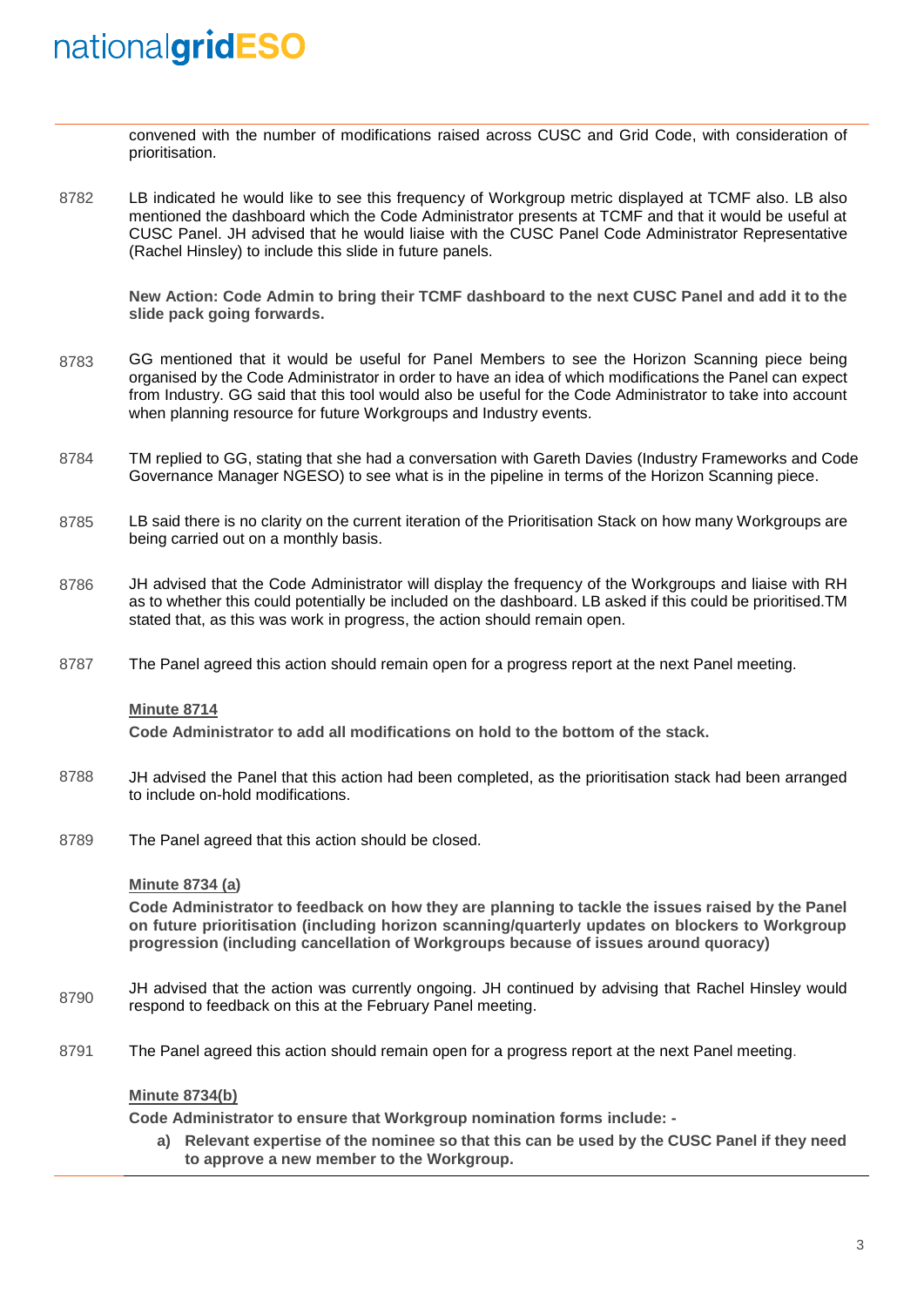convened with the number of modifications raised across CUSC and Grid Code, with consideration of prioritisation.

8782 LB indicated he would like to see this frequency of Workgroup metric displayed at TCMF also. LB also mentioned the dashboard which the Code Administrator presents at TCMF and that it would be useful at CUSC Panel. JH advised that he would liaise with the CUSC Panel Code Administrator Representative (Rachel Hinsley) to include this slide in future panels.

**New Action: Code Admin to bring their TCMF dashboard to the next CUSC Panel and add it to the slide pack going forwards.** 

- 8783 GG mentioned that it would be useful for Panel Members to see the Horizon Scanning piece being organised by the Code Administrator in order to have an idea of which modifications the Panel can expect from Industry. GG said that this tool would also be useful for the Code Administrator to take into account when planning resource for future Workgroups and Industry events.
- 8784 TM replied to GG, stating that she had a conversation with Gareth Davies (Industry Frameworks and Code Governance Manager NGESO) to see what is in the pipeline in terms of the Horizon Scanning piece.
- 8785 LB said there is no clarity on the current iteration of the Prioritisation Stack on how many Workgroups are being carried out on a monthly basis.
- 8786 JH advised that the Code Administrator will display the frequency of the Workgroups and liaise with RH as to whether this could potentially be included on the dashboard. LB asked if this could be prioritised.TM stated that, as this was work in progress, the action should remain open.
- 8787 The Panel agreed this action should remain open for a progress report at the next Panel meeting.

#### **Minute 8714**

**Code Administrator to add all modifications on hold to the bottom of the stack.**

- 8788 JH advised the Panel that this action had been completed, as the prioritisation stack had been arranged to include on-hold modifications.
- 8789 The Panel agreed that this action should be closed.

#### **Minute 8734 (a)**

**Code Administrator to feedback on how they are planning to tackle the issues raised by the Panel on future prioritisation (including horizon scanning/quarterly updates on blockers to Workgroup progression (including cancellation of Workgroups because of issues around quoracy)**

- 8790 JH advised that the action was currently ongoing. JH continued by advising that Rachel Hinsley would respond to feedback on this at the February Panel meeting.
- 8791 The Panel agreed this action should remain open for a progress report at the next Panel meeting.

### **Minute 8734(b)**

**Code Administrator to ensure that Workgroup nomination forms include: -**

**a) Relevant expertise of the nominee so that this can be used by the CUSC Panel if they need to approve a new member to the Workgroup.**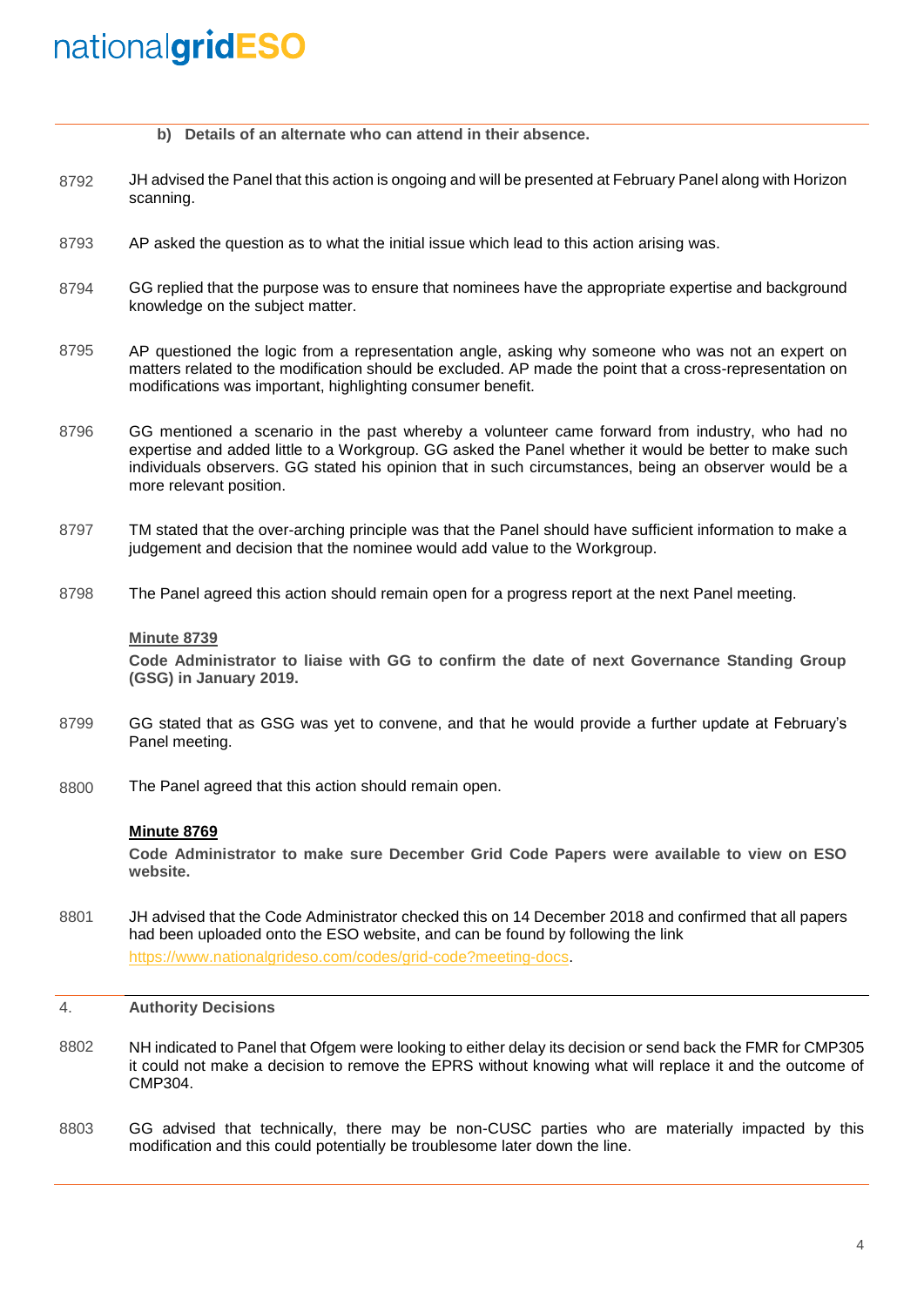|  |  |  |  |  |  |  |  |  |  | b) Details of an alternate who can attend in their absence. |
|--|--|--|--|--|--|--|--|--|--|-------------------------------------------------------------|
|--|--|--|--|--|--|--|--|--|--|-------------------------------------------------------------|

- 8792 JH advised the Panel that this action is ongoing and will be presented at February Panel along with Horizon scanning.
- 8793 AP asked the question as to what the initial issue which lead to this action arising was.
- 8794 GG replied that the purpose was to ensure that nominees have the appropriate expertise and background knowledge on the subject matter.
- 8795 AP questioned the logic from a representation angle, asking why someone who was not an expert on matters related to the modification should be excluded. AP made the point that a cross-representation on modifications was important, highlighting consumer benefit.
- 8796 GG mentioned a scenario in the past whereby a volunteer came forward from industry, who had no expertise and added little to a Workgroup. GG asked the Panel whether it would be better to make such individuals observers. GG stated his opinion that in such circumstances, being an observer would be a more relevant position.
- 8797 TM stated that the over-arching principle was that the Panel should have sufficient information to make a judgement and decision that the nominee would add value to the Workgroup.
- 8798 The Panel agreed this action should remain open for a progress report at the next Panel meeting.

#### **Minute 8739**

**Code Administrator to liaise with GG to confirm the date of next Governance Standing Group (GSG) in January 2019.**

- 8799 GG stated that as GSG was yet to convene, and that he would provide a further update at February's Panel meeting.
- 8800 The Panel agreed that this action should remain open.

#### **Minute 8769**

**Code Administrator to make sure December Grid Code Papers were available to view on ESO website.**

- 8801 JH advised that the Code Administrator checked this on 14 December 2018 and confirmed that all papers had been uploaded onto the ESO website, and can be found by following the link [https://www.nationalgrideso.com/codes/grid-code?meeting-docs.](https://www.nationalgrideso.com/codes/grid-code?meeting-docs)
- 4. **Authority Decisions**
- 8802 NH indicated to Panel that Ofgem were looking to either delay its decision or send back the FMR for CMP305 it could not make a decision to remove the EPRS without knowing what will replace it and the outcome of CMP304.
- 8803 GG advised that technically, there may be non-CUSC parties who are materially impacted by this modification and this could potentially be troublesome later down the line.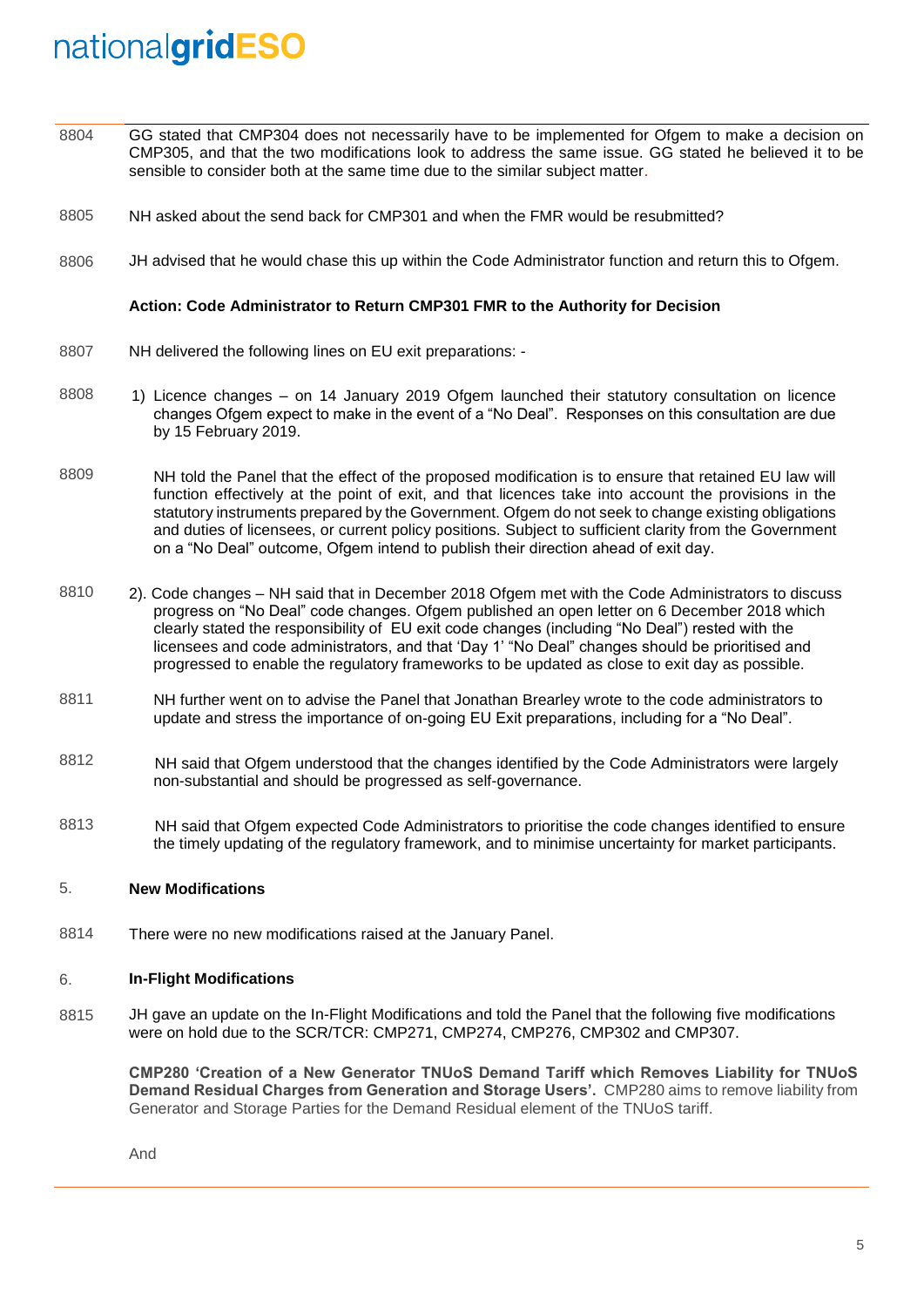- 8804 GG stated that CMP304 does not necessarily have to be implemented for Ofgem to make a decision on CMP305, and that the two modifications look to address the same issue. GG stated he believed it to be sensible to consider both at the same time due to the similar subject matter.
- 8805 NH asked about the send back for CMP301 and when the FMR would be resubmitted?
- 8806 JH advised that he would chase this up within the Code Administrator function and return this to Ofgem.

#### **Action: Code Administrator to Return CMP301 FMR to the Authority for Decision**

- 8807 NH delivered the following lines on EU exit preparations: -
- 8808 1) Licence changes – on 14 January 2019 Ofgem launched their statutory consultation on licence changes Ofgem expect to make in the event of a "No Deal". Responses on this consultation are due by 15 February 2019.
- 8809 NH told the Panel that the effect of the proposed modification is to ensure that retained EU law will function effectively at the point of exit, and that licences take into account the provisions in the statutory instruments prepared by the Government. Ofgem do not seek to change existing obligations and duties of licensees, or current policy positions. Subject to sufficient clarity from the Government on a "No Deal" outcome, Ofgem intend to publish their direction ahead of exit day.
- 8810 2). Code changes – NH said that in December 2018 Ofgem met with the Code Administrators to discuss progress on "No Deal" code changes. Ofgem published an open letter on 6 December 2018 which clearly stated the responsibility of EU exit code changes (including "No Deal") rested with the licensees and code administrators, and that 'Day 1' "No Deal" changes should be prioritised and progressed to enable the regulatory frameworks to be updated as close to exit day as possible.
- 8811 NH further went on to advise the Panel that Jonathan Brearley wrote to the code administrators to update and stress the importance of on-going EU Exit preparations, including for a "No Deal".
- 8812 NH said that Ofgem understood that the changes identified by the Code Administrators were largely non-substantial and should be progressed as self-governance.
- 8813 NH said that Ofgem expected Code Administrators to prioritise the code changes identified to ensure the timely updating of the regulatory framework, and to minimise uncertainty for market participants.

#### 5. **New Modifications**

8814 There were no new modifications raised at the January Panel.

#### 6. **In-Flight Modifications**

8815 JH gave an update on the In-Flight Modifications and told the Panel that the following five modifications were on hold due to the SCR/TCR: CMP271, CMP274, CMP276, CMP302 and CMP307.

**CMP280 'Creation of a New Generator TNUoS Demand Tariff which Removes Liability for TNUoS Demand Residual Charges from Generation and Storage Users'.** CMP280 aims to remove liability from Generator and Storage Parties for the Demand Residual element of the TNUoS tariff.

And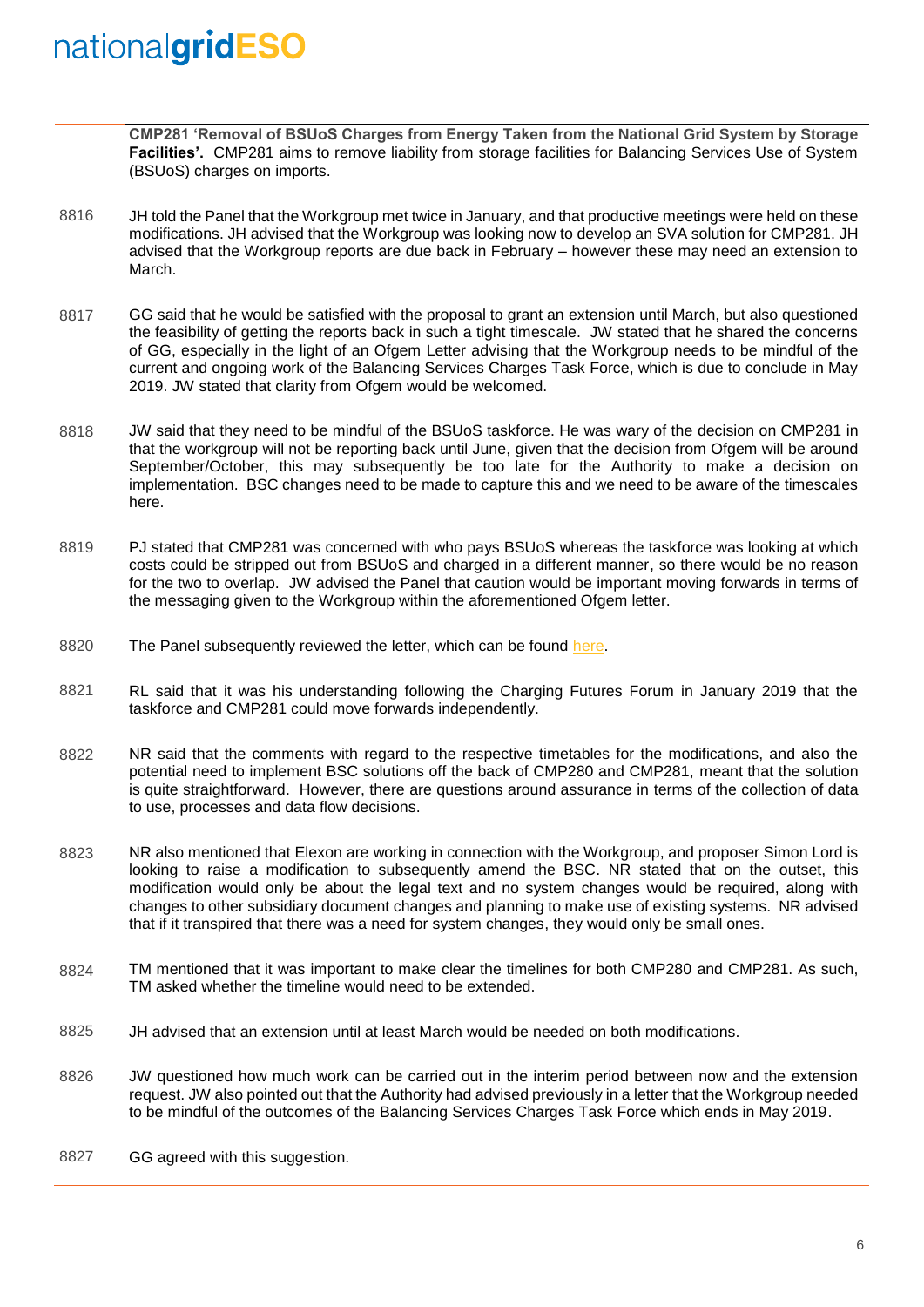**CMP281 'Removal of BSUoS Charges from Energy Taken from the National Grid System by Storage Facilities'.** CMP281 aims to remove liability from storage facilities for Balancing Services Use of System (BSUoS) charges on imports.

- 8816 JH told the Panel that the Workgroup met twice in January, and that productive meetings were held on these modifications. JH advised that the Workgroup was looking now to develop an SVA solution for CMP281. JH advised that the Workgroup reports are due back in February – however these may need an extension to March.
- 8817 GG said that he would be satisfied with the proposal to grant an extension until March, but also questioned the feasibility of getting the reports back in such a tight timescale. JW stated that he shared the concerns of GG, especially in the light of an Ofgem Letter advising that the Workgroup needs to be mindful of the current and ongoing work of the Balancing Services Charges Task Force, which is due to conclude in May 2019. JW stated that clarity from Ofgem would be welcomed.
- 8818 JW said that they need to be mindful of the BSUoS taskforce. He was wary of the decision on CMP281 in that the workgroup will not be reporting back until June, given that the decision from Ofgem will be around September/October, this may subsequently be too late for the Authority to make a decision on implementation. BSC changes need to be made to capture this and we need to be aware of the timescales here.
- 8819 PJ stated that CMP281 was concerned with who pays BSUoS whereas the taskforce was looking at which costs could be stripped out from BSUoS and charged in a different manner, so there would be no reason for the two to overlap. JW advised the Panel that caution would be important moving forwards in terms of the messaging given to the Workgroup within the aforementioned Ofgem letter.
- 8820 The Panel subsequently reviewed the letter, which can be found [here.](https://www.ofgem.gov.uk/publications-and-updates/open-letter-implications-charging-reform-electricity-storage)
- 8821 RL said that it was his understanding following the Charging Futures Forum in January 2019 that the taskforce and CMP281 could move forwards independently.
- 8822 NR said that the comments with regard to the respective timetables for the modifications, and also the potential need to implement BSC solutions off the back of CMP280 and CMP281, meant that the solution is quite straightforward. However, there are questions around assurance in terms of the collection of data to use, processes and data flow decisions.
- 8823 NR also mentioned that Elexon are working in connection with the Workgroup, and proposer Simon Lord is looking to raise a modification to subsequently amend the BSC. NR stated that on the outset, this modification would only be about the legal text and no system changes would be required, along with changes to other subsidiary document changes and planning to make use of existing systems. NR advised that if it transpired that there was a need for system changes, they would only be small ones.
- 8824 TM mentioned that it was important to make clear the timelines for both CMP280 and CMP281. As such, TM asked whether the timeline would need to be extended.
- 8825 JH advised that an extension until at least March would be needed on both modifications.
- 8826 JW questioned how much work can be carried out in the interim period between now and the extension request. JW also pointed out that the Authority had advised previously in a letter that the Workgroup needed to be mindful of the outcomes of the Balancing Services Charges Task Force which ends in May 2019.
- 8827 GG agreed with this suggestion.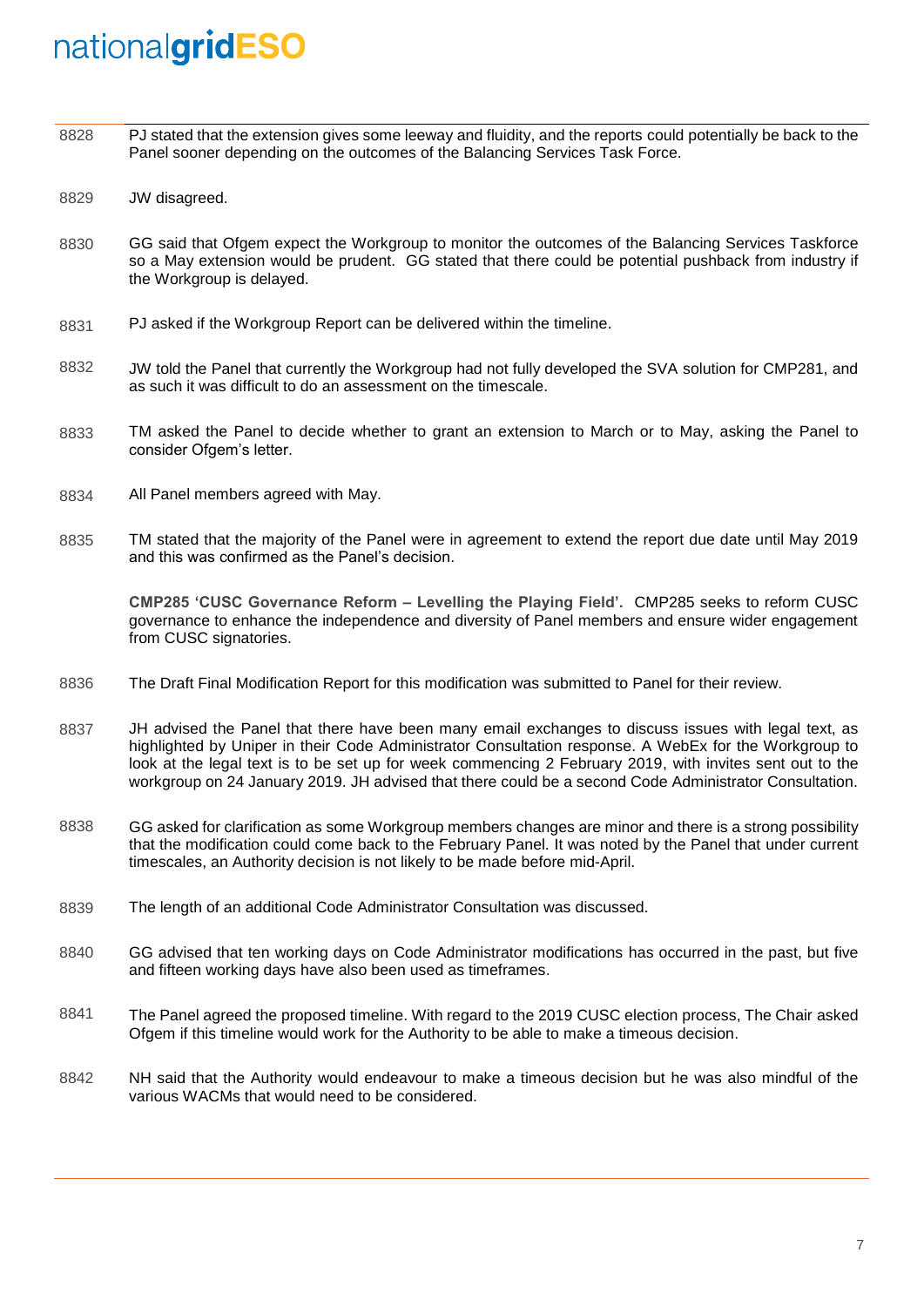- 8828 PJ stated that the extension gives some leeway and fluidity, and the reports could potentially be back to the Panel sooner depending on the outcomes of the Balancing Services Task Force.
- 8829 JW disagreed.
- 8830 GG said that Ofgem expect the Workgroup to monitor the outcomes of the Balancing Services Taskforce so a May extension would be prudent. GG stated that there could be potential pushback from industry if the Workgroup is delayed.
- 8831 PJ asked if the Workgroup Report can be delivered within the timeline.
- 8832 JW told the Panel that currently the Workgroup had not fully developed the SVA solution for CMP281, and as such it was difficult to do an assessment on the timescale.
- 8833 TM asked the Panel to decide whether to grant an extension to March or to May, asking the Panel to consider Ofgem's letter.
- 8834 All Panel members agreed with May.
- 8835 TM stated that the majority of the Panel were in agreement to extend the report due date until May 2019 and this was confirmed as the Panel's decision.

**CMP285 'CUSC Governance Reform – Levelling the Playing Field'.** CMP285 seeks to reform CUSC governance to enhance the independence and diversity of Panel members and ensure wider engagement from CUSC signatories.

- 8836 The Draft Final Modification Report for this modification was submitted to Panel for their review.
- 8837 JH advised the Panel that there have been many email exchanges to discuss issues with legal text, as highlighted by Uniper in their Code Administrator Consultation response. A WebEx for the Workgroup to look at the legal text is to be set up for week commencing 2 February 2019, with invites sent out to the workgroup on 24 January 2019. JH advised that there could be a second Code Administrator Consultation.
- 8838 GG asked for clarification as some Workgroup members changes are minor and there is a strong possibility that the modification could come back to the February Panel. It was noted by the Panel that under current timescales, an Authority decision is not likely to be made before mid-April.
- 8839 The length of an additional Code Administrator Consultation was discussed.
- 8840 GG advised that ten working days on Code Administrator modifications has occurred in the past, but five and fifteen working days have also been used as timeframes.
- 8841 The Panel agreed the proposed timeline. With regard to the 2019 CUSC election process, The Chair asked Ofgem if this timeline would work for the Authority to be able to make a timeous decision.
- 8842 NH said that the Authority would endeavour to make a timeous decision but he was also mindful of the various WACMs that would need to be considered.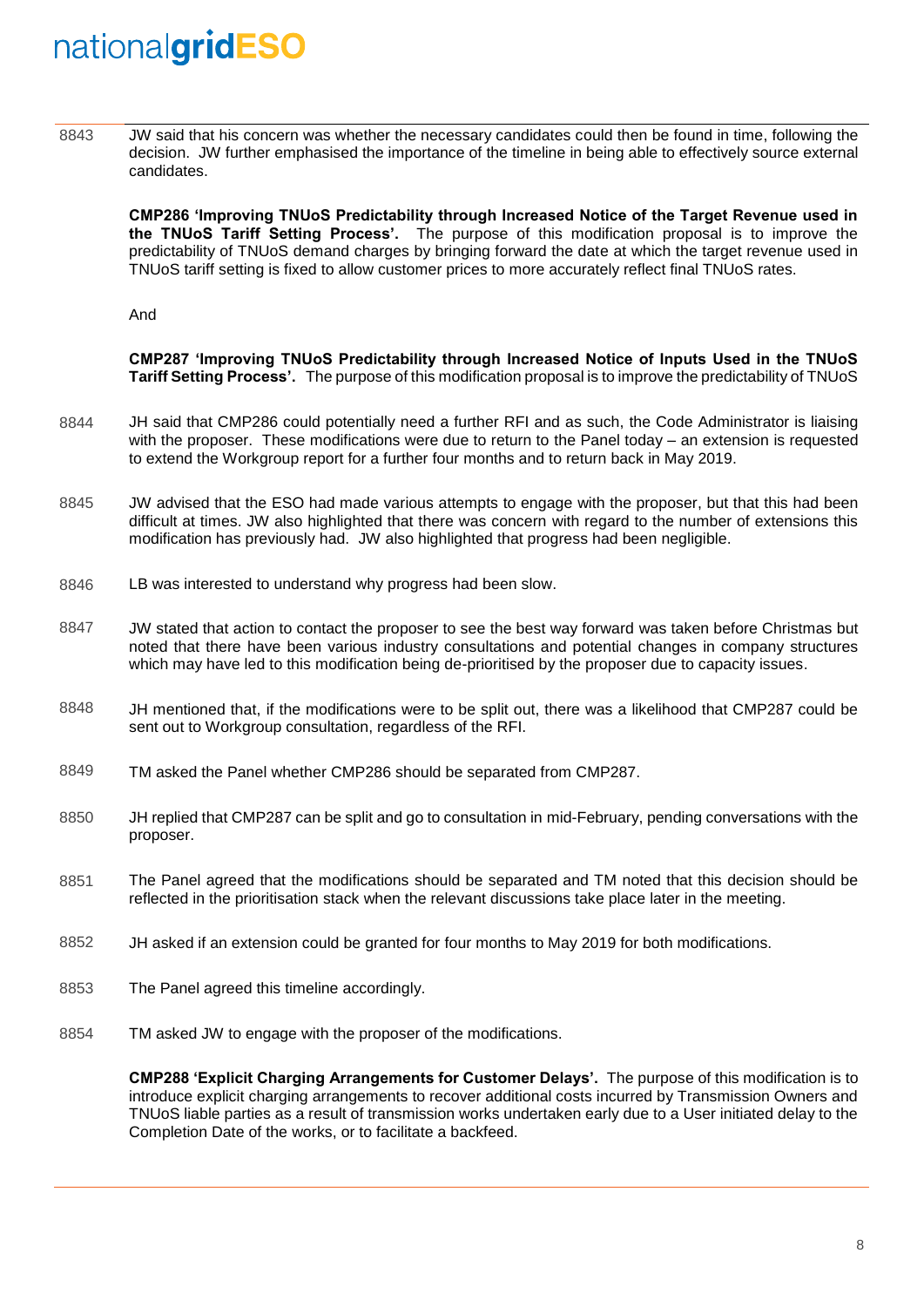8843 JW said that his concern was whether the necessary candidates could then be found in time, following the decision. JW further emphasised the importance of the timeline in being able to effectively source external candidates.

**CMP286 'Improving TNUoS Predictability through Increased Notice of the Target Revenue used in the TNUoS Tariff Setting Process'.** The purpose of this modification proposal is to improve the predictability of TNUoS demand charges by bringing forward the date at which the target revenue used in TNUoS tariff setting is fixed to allow customer prices to more accurately reflect final TNUoS rates.

And

**CMP287 'Improving TNUoS Predictability through Increased Notice of Inputs Used in the TNUoS Tariff Setting Process'.** The purpose of this modification proposal is to improve the predictability of TNUoS

- 8844 JH said that CMP286 could potentially need a further RFI and as such, the Code Administrator is liaising with the proposer. These modifications were due to return to the Panel today – an extension is requested to extend the Workgroup report for a further four months and to return back in May 2019.
- 8845 JW advised that the ESO had made various attempts to engage with the proposer, but that this had been difficult at times. JW also highlighted that there was concern with regard to the number of extensions this modification has previously had. JW also highlighted that progress had been negligible.
- 8846 LB was interested to understand why progress had been slow.
- 8847 JW stated that action to contact the proposer to see the best way forward was taken before Christmas but noted that there have been various industry consultations and potential changes in company structures which may have led to this modification being de-prioritised by the proposer due to capacity issues.
- 8848 JH mentioned that, if the modifications were to be split out, there was a likelihood that CMP287 could be sent out to Workgroup consultation, regardless of the RFI.
- 8849 TM asked the Panel whether CMP286 should be separated from CMP287.
- 8850 JH replied that CMP287 can be split and go to consultation in mid-February, pending conversations with the proposer.
- 8851 The Panel agreed that the modifications should be separated and TM noted that this decision should be reflected in the prioritisation stack when the relevant discussions take place later in the meeting.
- 8852 JH asked if an extension could be granted for four months to May 2019 for both modifications.
- 8853 The Panel agreed this timeline accordingly.
- 8854 TM asked JW to engage with the proposer of the modifications.

**CMP288 'Explicit Charging Arrangements for Customer Delays'.** The purpose of this modification is to introduce explicit charging arrangements to recover additional costs incurred by Transmission Owners and TNUoS liable parties as a result of transmission works undertaken early due to a User initiated delay to the Completion Date of the works, or to facilitate a backfeed.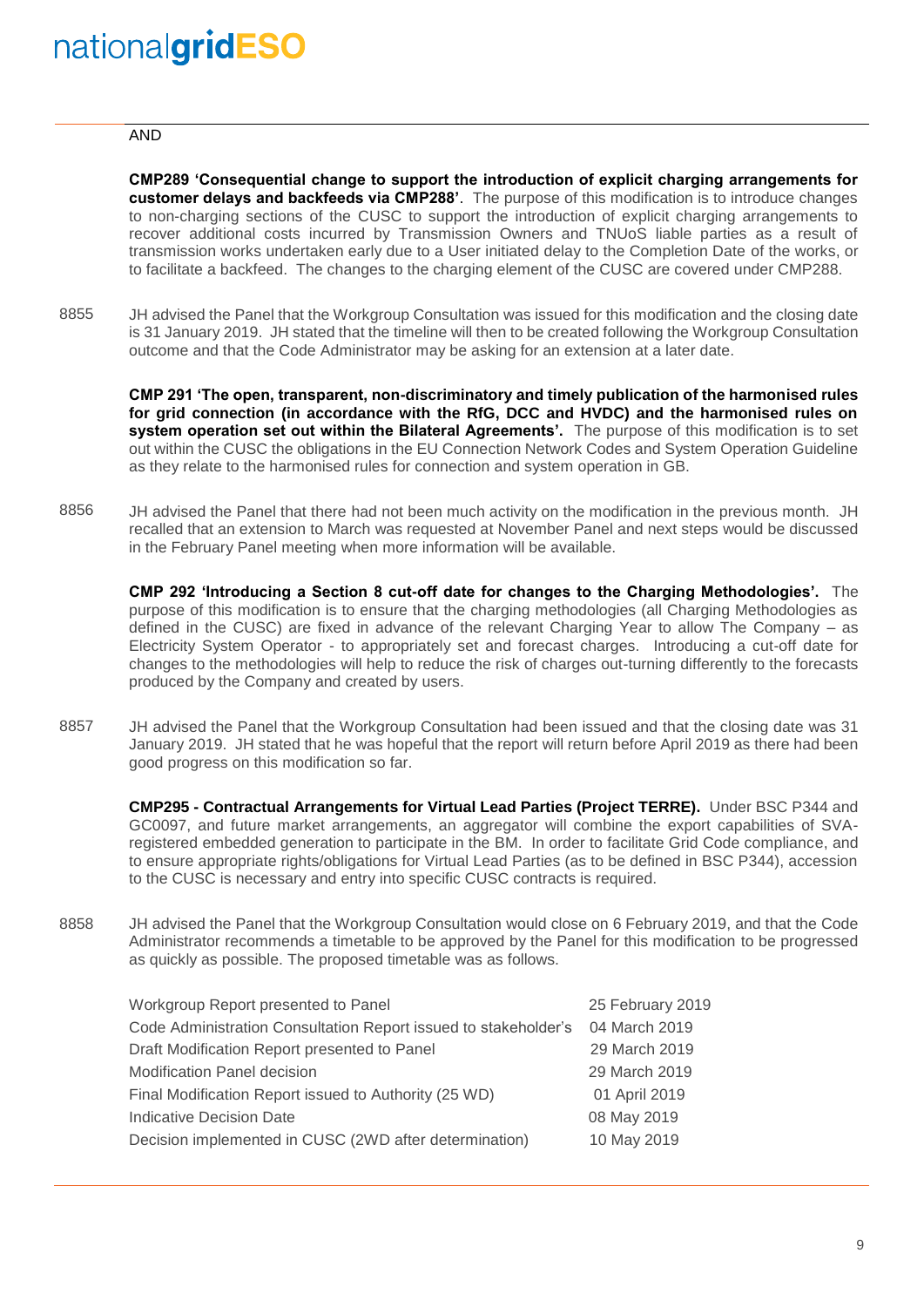#### AND

**CMP289 'Consequential change to support the introduction of explicit charging arrangements for customer delays and backfeeds via CMP288'**. The purpose of this modification is to introduce changes to non-charging sections of the CUSC to support the introduction of explicit charging arrangements to recover additional costs incurred by Transmission Owners and TNUoS liable parties as a result of transmission works undertaken early due to a User initiated delay to the Completion Date of the works, or to facilitate a backfeed. The changes to the charging element of the CUSC are covered under CMP288.

8855 JH advised the Panel that the Workgroup Consultation was issued for this modification and the closing date is 31 January 2019. JH stated that the timeline will then to be created following the Workgroup Consultation outcome and that the Code Administrator may be asking for an extension at a later date.

**CMP 291 'The open, transparent, non-discriminatory and timely publication of the harmonised rules for grid connection (in accordance with the RfG, DCC and HVDC) and the harmonised rules on system operation set out within the Bilateral Agreements'.** The purpose of this modification is to set out within the CUSC the obligations in the EU Connection Network Codes and System Operation Guideline as they relate to the harmonised rules for connection and system operation in GB.

8856 JH advised the Panel that there had not been much activity on the modification in the previous month. JH recalled that an extension to March was requested at November Panel and next steps would be discussed in the February Panel meeting when more information will be available.

**CMP 292 'Introducing a Section 8 cut-off date for changes to the Charging Methodologies'.** The purpose of this modification is to ensure that the charging methodologies (all Charging Methodologies as defined in the CUSC) are fixed in advance of the relevant Charging Year to allow The Company – as Electricity System Operator - to appropriately set and forecast charges. Introducing a cut-off date for changes to the methodologies will help to reduce the risk of charges out-turning differently to the forecasts produced by the Company and created by users.

8857 JH advised the Panel that the Workgroup Consultation had been issued and that the closing date was 31 January 2019. JH stated that he was hopeful that the report will return before April 2019 as there had been good progress on this modification so far.

**CMP295 - Contractual Arrangements for Virtual Lead Parties (Project TERRE).** Under BSC P344 and GC0097, and future market arrangements, an aggregator will combine the export capabilities of SVAregistered embedded generation to participate in the BM. In order to facilitate Grid Code compliance, and to ensure appropriate rights/obligations for Virtual Lead Parties (as to be defined in BSC P344), accession to the CUSC is necessary and entry into specific CUSC contracts is required.

8858 JH advised the Panel that the Workgroup Consultation would close on 6 February 2019, and that the Code Administrator recommends a timetable to be approved by the Panel for this modification to be progressed as quickly as possible. The proposed timetable was as follows.

| Workgroup Report presented to Panel                             | 25 February 2019 |
|-----------------------------------------------------------------|------------------|
| Code Administration Consultation Report issued to stakeholder's | 04 March 2019    |
| Draft Modification Report presented to Panel                    | 29 March 2019    |
| <b>Modification Panel decision</b>                              | 29 March 2019    |
| Final Modification Report issued to Authority (25 WD)           | 01 April 2019    |
| Indicative Decision Date                                        | 08 May 2019      |
| Decision implemented in CUSC (2WD after determination)          | 10 May 2019      |
|                                                                 |                  |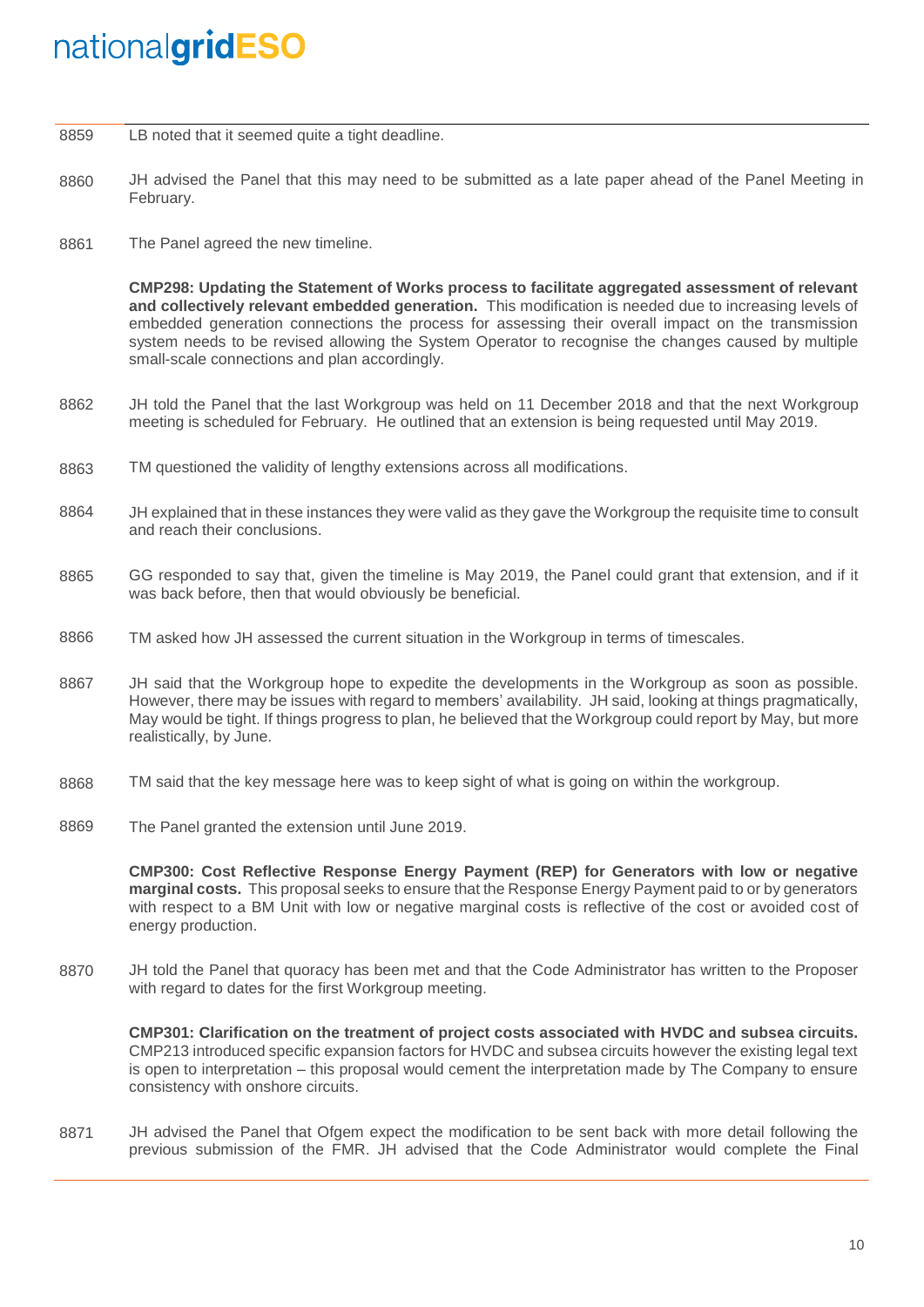8859 LB noted that it seemed quite a tight deadline.

- 8860 JH advised the Panel that this may need to be submitted as a late paper ahead of the Panel Meeting in February.
- 8861 The Panel agreed the new timeline.

**CMP298: Updating the Statement of Works process to facilitate aggregated assessment of relevant and collectively relevant embedded generation.** This modification is needed due to increasing levels of embedded generation connections the process for assessing their overall impact on the transmission system needs to be revised allowing the System Operator to recognise the changes caused by multiple small-scale connections and plan accordingly.

- 8862 JH told the Panel that the last Workgroup was held on 11 December 2018 and that the next Workgroup meeting is scheduled for February. He outlined that an extension is being requested until May 2019.
- 8863 TM questioned the validity of lengthy extensions across all modifications.
- 8864 JH explained that in these instances they were valid as they gave the Workgroup the requisite time to consult and reach their conclusions.
- 8865 GG responded to say that, given the timeline is May 2019, the Panel could grant that extension, and if it was back before, then that would obviously be beneficial.
- 8866 TM asked how JH assessed the current situation in the Workgroup in terms of timescales.
- 8867 JH said that the Workgroup hope to expedite the developments in the Workgroup as soon as possible. However, there may be issues with regard to members' availability. JH said, looking at things pragmatically, May would be tight. If things progress to plan, he believed that the Workgroup could report by May, but more realistically, by June.
- 8868 TM said that the key message here was to keep sight of what is going on within the workgroup.
- 8869 The Panel granted the extension until June 2019.

**CMP300: Cost Reflective Response Energy Payment (REP) for Generators with low or negative marginal costs.** This proposal seeks to ensure that the Response Energy Payment paid to or by generators with respect to a BM Unit with low or negative marginal costs is reflective of the cost or avoided cost of energy production.

8870 JH told the Panel that quoracy has been met and that the Code Administrator has written to the Proposer with regard to dates for the first Workgroup meeting.

**CMP301: Clarification on the treatment of project costs associated with HVDC and subsea circuits.** CMP213 introduced specific expansion factors for HVDC and subsea circuits however the existing legal text is open to interpretation – this proposal would cement the interpretation made by The Company to ensure consistency with onshore circuits.

8871 JH advised the Panel that Ofgem expect the modification to be sent back with more detail following the previous submission of the FMR. JH advised that the Code Administrator would complete the Final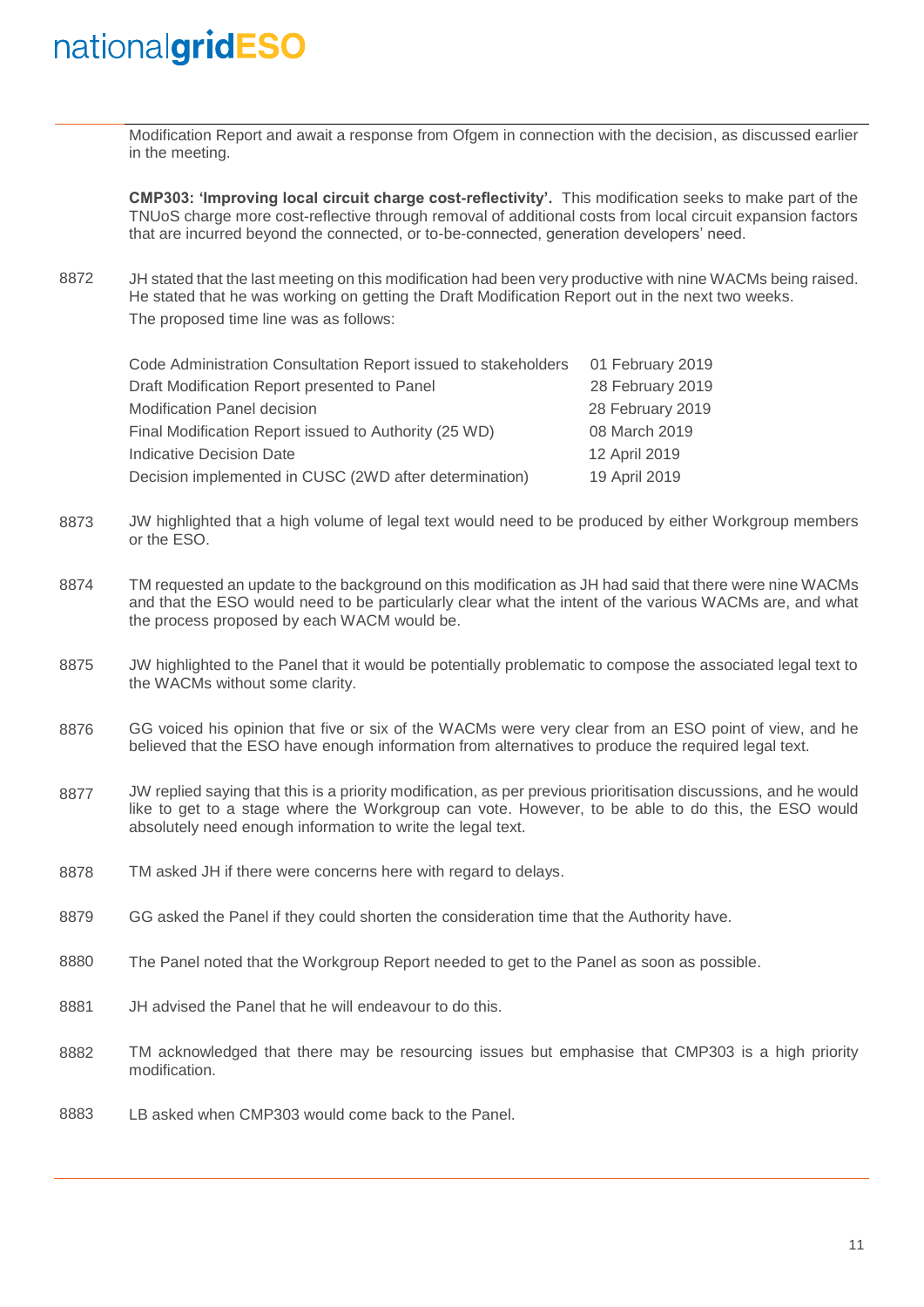Modification Report and await a response from Ofgem in connection with the decision, as discussed earlier in the meeting.

**CMP303: 'Improving local circuit charge cost-reflectivity'.** This modification seeks to make part of the TNUoS charge more cost-reflective through removal of additional costs from local circuit expansion factors that are incurred beyond the connected, or to-be-connected, generation developers' need.

8872 JH stated that the last meeting on this modification had been very productive with nine WACMs being raised. He stated that he was working on getting the Draft Modification Report out in the next two weeks. The proposed time line was as follows:

| Code Administration Consultation Report issued to stakeholders | 01 February 2019 |
|----------------------------------------------------------------|------------------|
| Draft Modification Report presented to Panel                   | 28 February 2019 |
| <b>Modification Panel decision</b>                             | 28 February 2019 |
| Final Modification Report issued to Authority (25 WD)          | 08 March 2019    |
| <b>Indicative Decision Date</b>                                | 12 April 2019    |
| Decision implemented in CUSC (2WD after determination)         | 19 April 2019    |

- 8873 JW highlighted that a high volume of legal text would need to be produced by either Workgroup members or the ESO.
- 8874 TM requested an update to the background on this modification as JH had said that there were nine WACMs and that the ESO would need to be particularly clear what the intent of the various WACMs are, and what the process proposed by each WACM would be.
- 8875 JW highlighted to the Panel that it would be potentially problematic to compose the associated legal text to the WACMs without some clarity.
- 8876 GG voiced his opinion that five or six of the WACMs were very clear from an ESO point of view, and he believed that the ESO have enough information from alternatives to produce the required legal text.
- 8877 JW replied saying that this is a priority modification, as per previous prioritisation discussions, and he would like to get to a stage where the Workgroup can vote. However, to be able to do this, the ESO would absolutely need enough information to write the legal text.
- 8878 TM asked JH if there were concerns here with regard to delays.
- 8879 GG asked the Panel if they could shorten the consideration time that the Authority have.
- 8880 The Panel noted that the Workgroup Report needed to get to the Panel as soon as possible.
- 8881 JH advised the Panel that he will endeavour to do this.
- 8882 TM acknowledged that there may be resourcing issues but emphasise that CMP303 is a high priority modification.
- 8883 LB asked when CMP303 would come back to the Panel.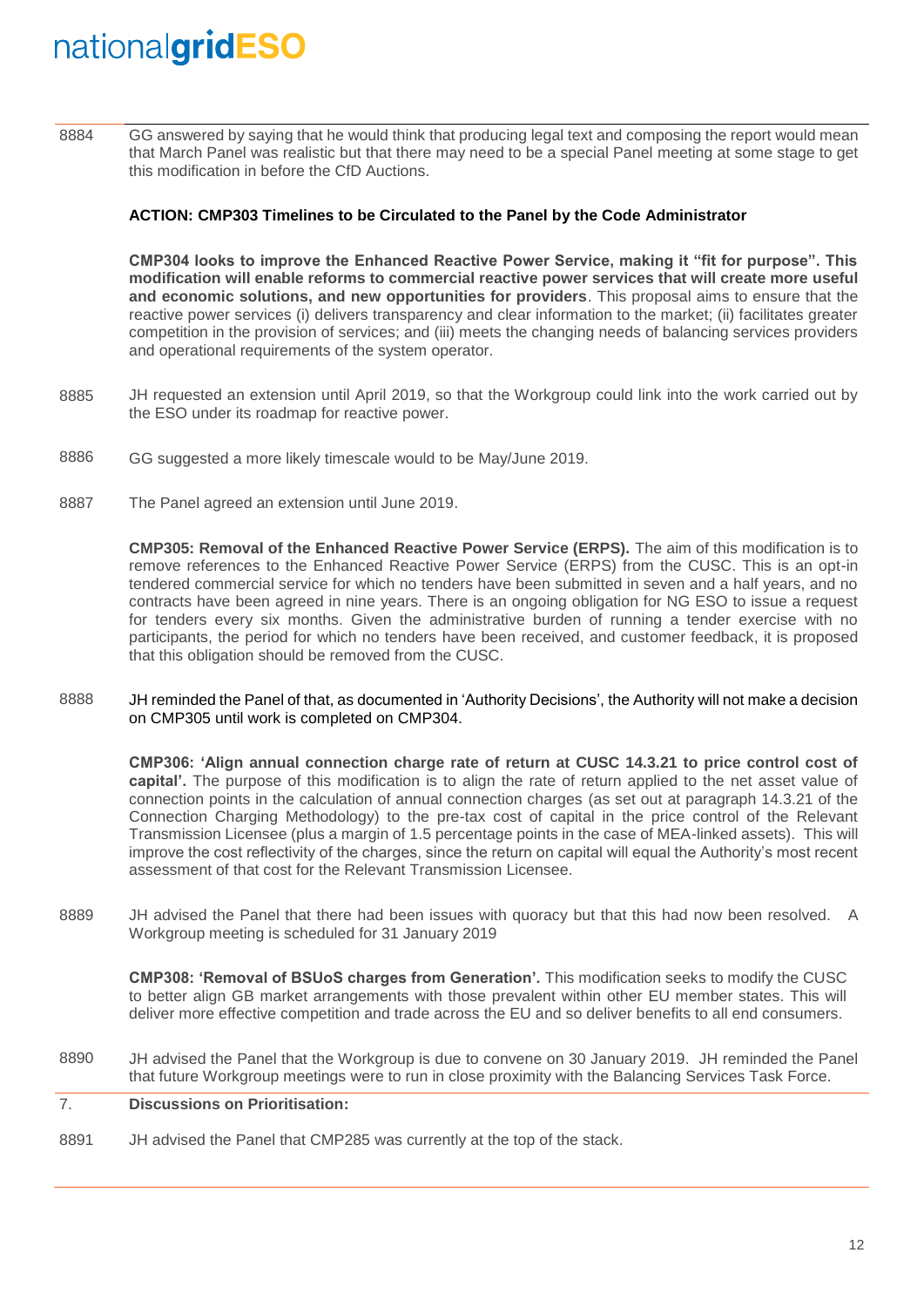8884 GG answered by saying that he would think that producing legal text and composing the report would mean that March Panel was realistic but that there may need to be a special Panel meeting at some stage to get this modification in before the CfD Auctions.

### **ACTION: CMP303 Timelines to be Circulated to the Panel by the Code Administrator**

**CMP304 looks to improve the Enhanced Reactive Power Service, making it "fit for purpose". This modification will enable reforms to commercial reactive power services that will create more useful and economic solutions, and new opportunities for providers**. This proposal aims to ensure that the reactive power services (i) delivers transparency and clear information to the market; (ii) facilitates greater competition in the provision of services; and (iii) meets the changing needs of balancing services providers and operational requirements of the system operator.

- 8885 JH requested an extension until April 2019, so that the Workgroup could link into the work carried out by the ESO under its roadmap for reactive power.
- 8886 GG suggested a more likely timescale would to be May/June 2019.
- 8887 The Panel agreed an extension until June 2019.

**CMP305: Removal of the Enhanced Reactive Power Service (ERPS).** The aim of this modification is to remove references to the Enhanced Reactive Power Service (ERPS) from the CUSC. This is an opt-in tendered commercial service for which no tenders have been submitted in seven and a half years, and no contracts have been agreed in nine years. There is an ongoing obligation for NG ESO to issue a request for tenders every six months. Given the administrative burden of running a tender exercise with no participants, the period for which no tenders have been received, and customer feedback, it is proposed that this obligation should be removed from the CUSC.

8888 JH reminded the Panel of that, as documented in 'Authority Decisions', the Authority will not make a decision on CMP305 until work is completed on CMP304.

**CMP306: 'Align annual connection charge rate of return at CUSC 14.3.21 to price control cost of capital'.** The purpose of this modification is to align the rate of return applied to the net asset value of connection points in the calculation of annual connection charges (as set out at paragraph 14.3.21 of the Connection Charging Methodology) to the pre-tax cost of capital in the price control of the Relevant Transmission Licensee (plus a margin of 1.5 percentage points in the case of MEA-linked assets). This will improve the cost reflectivity of the charges, since the return on capital will equal the Authority's most recent assessment of that cost for the Relevant Transmission Licensee.

8889 JH advised the Panel that there had been issues with quoracy but that this had now been resolved. A Workgroup meeting is scheduled for 31 January 2019

**CMP308: 'Removal of BSUoS charges from Generation'.** This modification seeks to modify the CUSC to better align GB market arrangements with those prevalent within other EU member states. This will deliver more effective competition and trade across the EU and so deliver benefits to all end consumers.

8890 JH advised the Panel that the Workgroup is due to convene on 30 January 2019. JH reminded the Panel that future Workgroup meetings were to run in close proximity with the Balancing Services Task Force.

#### 7. **Discussions on Prioritisation:**

8891 JH advised the Panel that CMP285 was currently at the top of the stack.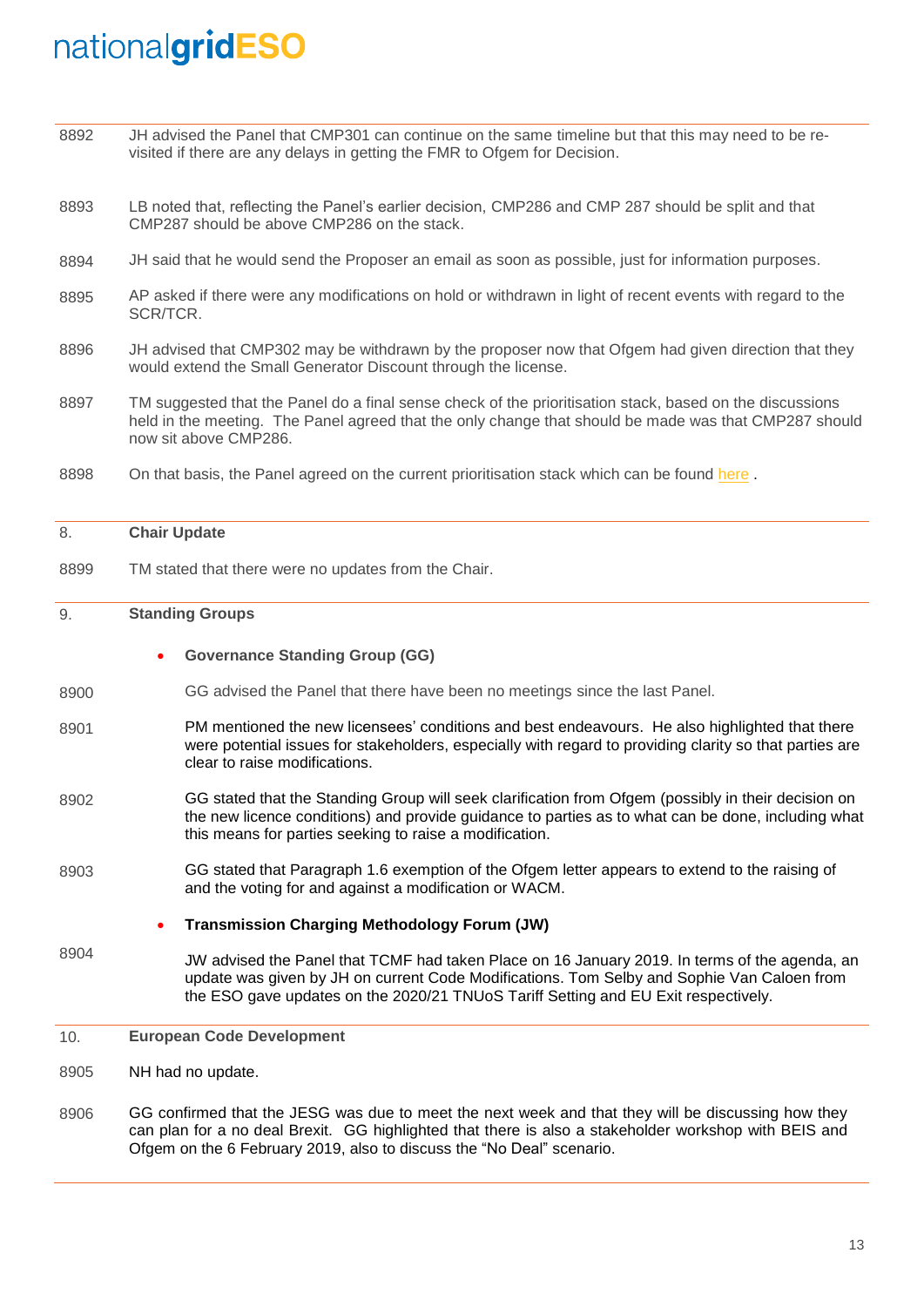| 8892 | JH advised the Panel that CMP301 can continue on the same timeline but that this may need to be re-<br>visited if there are any delays in getting the FMR to Ofgem for Decision.                                                                                                  |  |  |  |  |  |
|------|-----------------------------------------------------------------------------------------------------------------------------------------------------------------------------------------------------------------------------------------------------------------------------------|--|--|--|--|--|
| 8893 | LB noted that, reflecting the Panel's earlier decision, CMP286 and CMP 287 should be split and that<br>CMP287 should be above CMP286 on the stack.                                                                                                                                |  |  |  |  |  |
| 8894 | JH said that he would send the Proposer an email as soon as possible, just for information purposes.                                                                                                                                                                              |  |  |  |  |  |
| 8895 | AP asked if there were any modifications on hold or withdrawn in light of recent events with regard to the<br>SCR/TCR.                                                                                                                                                            |  |  |  |  |  |
| 8896 | JH advised that CMP302 may be withdrawn by the proposer now that Ofgem had given direction that they<br>would extend the Small Generator Discount through the license.                                                                                                            |  |  |  |  |  |
| 8897 | TM suggested that the Panel do a final sense check of the prioritisation stack, based on the discussions<br>held in the meeting. The Panel agreed that the only change that should be made was that CMP287 should<br>now sit above CMP286.                                        |  |  |  |  |  |
| 8898 | On that basis, the Panel agreed on the current prioritisation stack which can be found here.                                                                                                                                                                                      |  |  |  |  |  |
| 8.   | <b>Chair Update</b>                                                                                                                                                                                                                                                               |  |  |  |  |  |
| 8899 | TM stated that there were no updates from the Chair.                                                                                                                                                                                                                              |  |  |  |  |  |
| 9.   | <b>Standing Groups</b>                                                                                                                                                                                                                                                            |  |  |  |  |  |
|      |                                                                                                                                                                                                                                                                                   |  |  |  |  |  |
|      | <b>Governance Standing Group (GG)</b>                                                                                                                                                                                                                                             |  |  |  |  |  |
| 8900 | GG advised the Panel that there have been no meetings since the last Panel.                                                                                                                                                                                                       |  |  |  |  |  |
| 8901 | PM mentioned the new licensees' conditions and best endeavours. He also highlighted that there<br>were potential issues for stakeholders, especially with regard to providing clarity so that parties are<br>clear to raise modifications.                                        |  |  |  |  |  |
| 8902 | GG stated that the Standing Group will seek clarification from Ofgem (possibly in their decision on<br>the new licence conditions) and provide guidance to parties as to what can be done, including what<br>this means for parties seeking to raise a modification.              |  |  |  |  |  |
| 8903 | GG stated that Paragraph 1.6 exemption of the Ofgem letter appears to extend to the raising of<br>and the voting for and against a modification or WACM.                                                                                                                          |  |  |  |  |  |
|      | <b>Transmission Charging Methodology Forum (JW)</b>                                                                                                                                                                                                                               |  |  |  |  |  |
| 8904 | JW advised the Panel that TCMF had taken Place on 16 January 2019. In terms of the agenda, an<br>update was given by JH on current Code Modifications. Tom Selby and Sophie Van Caloen from<br>the ESO gave updates on the 2020/21 TNUoS Tariff Setting and EU Exit respectively. |  |  |  |  |  |
| 10.  | <b>European Code Development</b>                                                                                                                                                                                                                                                  |  |  |  |  |  |
| 8905 | NH had no update.                                                                                                                                                                                                                                                                 |  |  |  |  |  |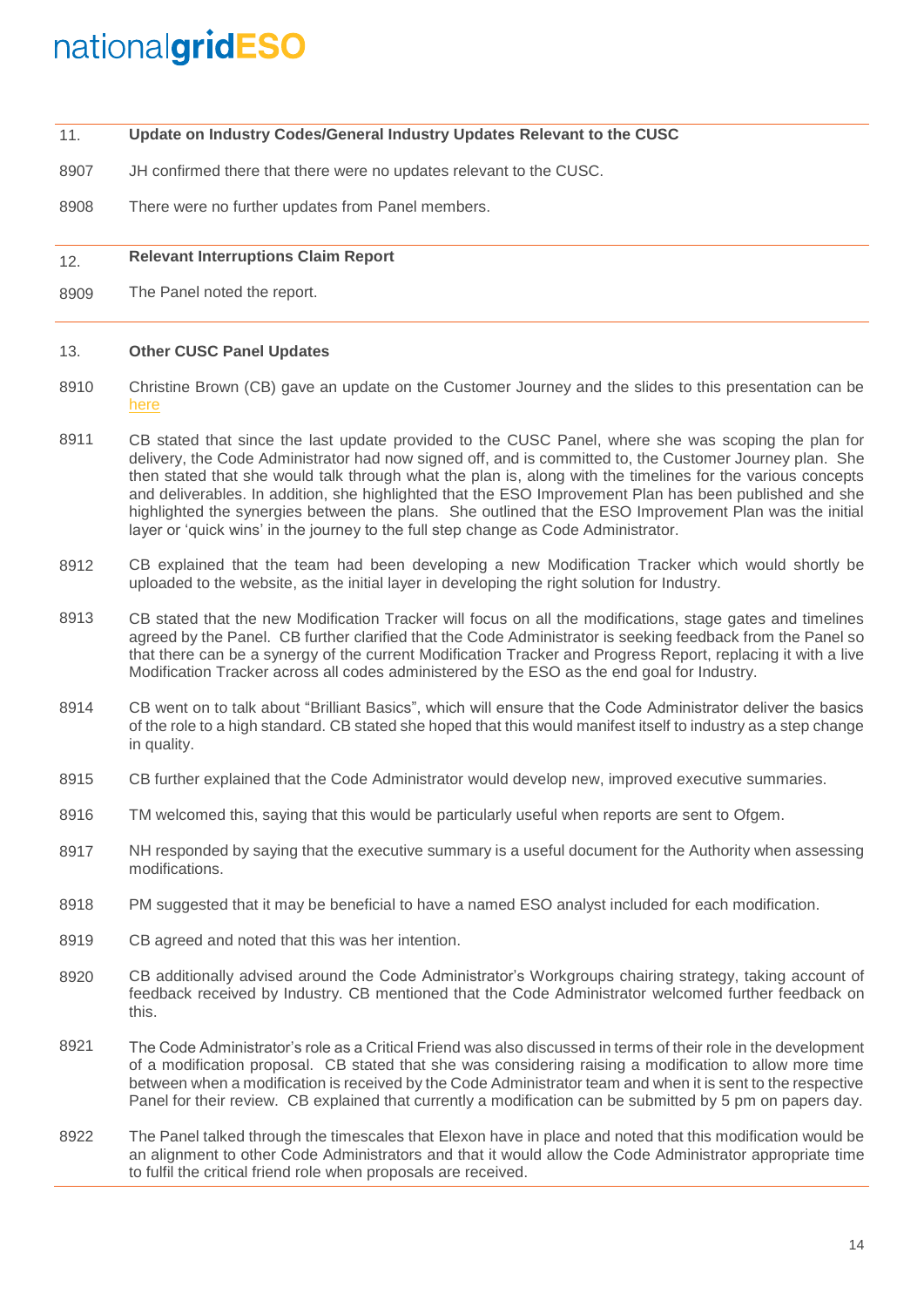- 11. **Update on Industry Codes/General Industry Updates Relevant to the CUSC**
- 8907 JH confirmed there that there were no updates relevant to the CUSC.
- 8908 There were no further updates from Panel members.

#### 12. **Relevant Interruptions Claim Report**

8909 The Panel noted the report.

#### 13. **Other CUSC Panel Updates**

- 8910 Christine Brown (CB) gave an update on the Customer Journey and the slides to this presentation can be [here](https://www.nationalgrideso.com/codes/connection-and-use-system-code-cusc/meetings/cusc-panel-meeting-25-january-2019)
- 8911 CB stated that since the last update provided to the CUSC Panel, where she was scoping the plan for delivery, the Code Administrator had now signed off, and is committed to, the Customer Journey plan. She then stated that she would talk through what the plan is, along with the timelines for the various concepts and deliverables. In addition, she highlighted that the ESO Improvement Plan has been published and she highlighted the synergies between the plans. She outlined that the ESO Improvement Plan was the initial layer or 'quick wins' in the journey to the full step change as Code Administrator.
- 8912 CB explained that the team had been developing a new Modification Tracker which would shortly be uploaded to the website, as the initial layer in developing the right solution for Industry.
- 8913 CB stated that the new Modification Tracker will focus on all the modifications, stage gates and timelines agreed by the Panel. CB further clarified that the Code Administrator is seeking feedback from the Panel so that there can be a synergy of the current Modification Tracker and Progress Report, replacing it with a live Modification Tracker across all codes administered by the ESO as the end goal for Industry.
- 8914 CB went on to talk about "Brilliant Basics", which will ensure that the Code Administrator deliver the basics of the role to a high standard. CB stated she hoped that this would manifest itself to industry as a step change in quality.
- 8915 CB further explained that the Code Administrator would develop new, improved executive summaries.
- 8916 TM welcomed this, saying that this would be particularly useful when reports are sent to Ofgem.
- 8917 NH responded by saying that the executive summary is a useful document for the Authority when assessing modifications.
- 8918 PM suggested that it may be beneficial to have a named ESO analyst included for each modification.
- 8919 CB agreed and noted that this was her intention.
- 8920 CB additionally advised around the Code Administrator's Workgroups chairing strategy, taking account of feedback received by Industry. CB mentioned that the Code Administrator welcomed further feedback on this.
- 8921 The Code Administrator's role as a Critical Friend was also discussed in terms of their role in the development of a modification proposal. CB stated that she was considering raising a modification to allow more time between when a modification is received by the Code Administrator team and when it is sent to the respective Panel for their review. CB explained that currently a modification can be submitted by 5 pm on papers day.
- 8922 The Panel talked through the timescales that Elexon have in place and noted that this modification would be an alignment to other Code Administrators and that it would allow the Code Administrator appropriate time to fulfil the critical friend role when proposals are received.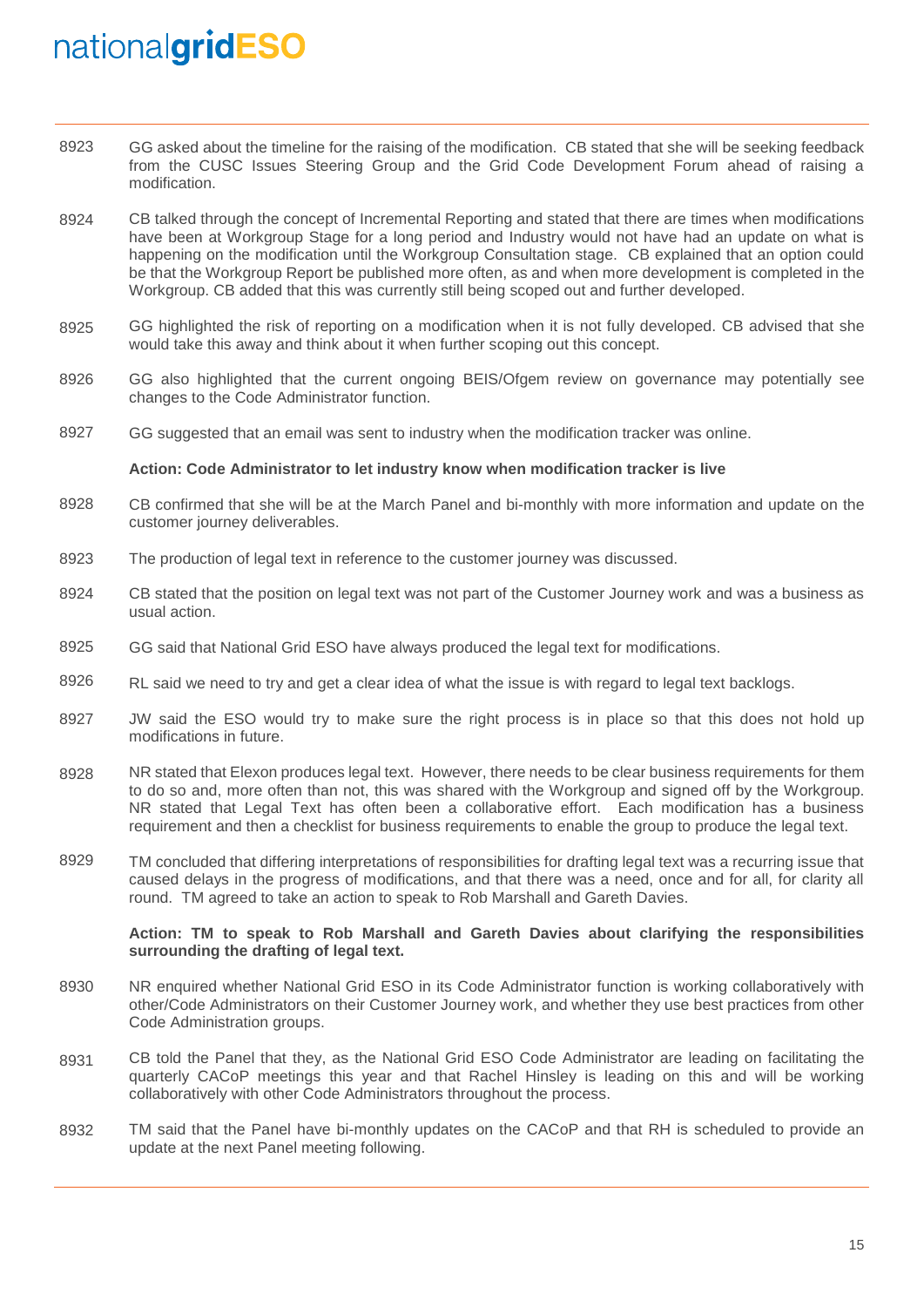- 8923 GG asked about the timeline for the raising of the modification. CB stated that she will be seeking feedback from the CUSC Issues Steering Group and the Grid Code Development Forum ahead of raising a modification.
- 8924 CB talked through the concept of Incremental Reporting and stated that there are times when modifications have been at Workgroup Stage for a long period and Industry would not have had an update on what is happening on the modification until the Workgroup Consultation stage. CB explained that an option could be that the Workgroup Report be published more often, as and when more development is completed in the Workgroup. CB added that this was currently still being scoped out and further developed.
- 8925 GG highlighted the risk of reporting on a modification when it is not fully developed. CB advised that she would take this away and think about it when further scoping out this concept.
- 8926 GG also highlighted that the current ongoing BEIS/Ofgem review on governance may potentially see changes to the Code Administrator function.
- 8927 GG suggested that an email was sent to industry when the modification tracker was online.

#### **Action: Code Administrator to let industry know when modification tracker is live**

- 8928 CB confirmed that she will be at the March Panel and bi-monthly with more information and update on the customer journey deliverables.
- 8923 The production of legal text in reference to the customer journey was discussed.
- 8924 CB stated that the position on legal text was not part of the Customer Journey work and was a business as usual action.
- 8925 GG said that National Grid ESO have always produced the legal text for modifications.
- 8926 RL said we need to try and get a clear idea of what the issue is with regard to legal text backlogs.
- 8927 JW said the ESO would try to make sure the right process is in place so that this does not hold up modifications in future.
- 8928 NR stated that Elexon produces legal text. However, there needs to be clear business requirements for them to do so and, more often than not, this was shared with the Workgroup and signed off by the Workgroup. NR stated that Legal Text has often been a collaborative effort. Each modification has a business requirement and then a checklist for business requirements to enable the group to produce the legal text.
- 8929 TM concluded that differing interpretations of responsibilities for drafting legal text was a recurring issue that caused delays in the progress of modifications, and that there was a need, once and for all, for clarity all round. TM agreed to take an action to speak to Rob Marshall and Gareth Davies.

### **Action: TM to speak to Rob Marshall and Gareth Davies about clarifying the responsibilities surrounding the drafting of legal text.**

- 8930 NR enquired whether National Grid ESO in its Code Administrator function is working collaboratively with other/Code Administrators on their Customer Journey work, and whether they use best practices from other Code Administration groups.
- 8931 CB told the Panel that they, as the National Grid ESO Code Administrator are leading on facilitating the quarterly CACoP meetings this year and that Rachel Hinsley is leading on this and will be working collaboratively with other Code Administrators throughout the process.
- 8932 TM said that the Panel have bi-monthly updates on the CACoP and that RH is scheduled to provide an update at the next Panel meeting following.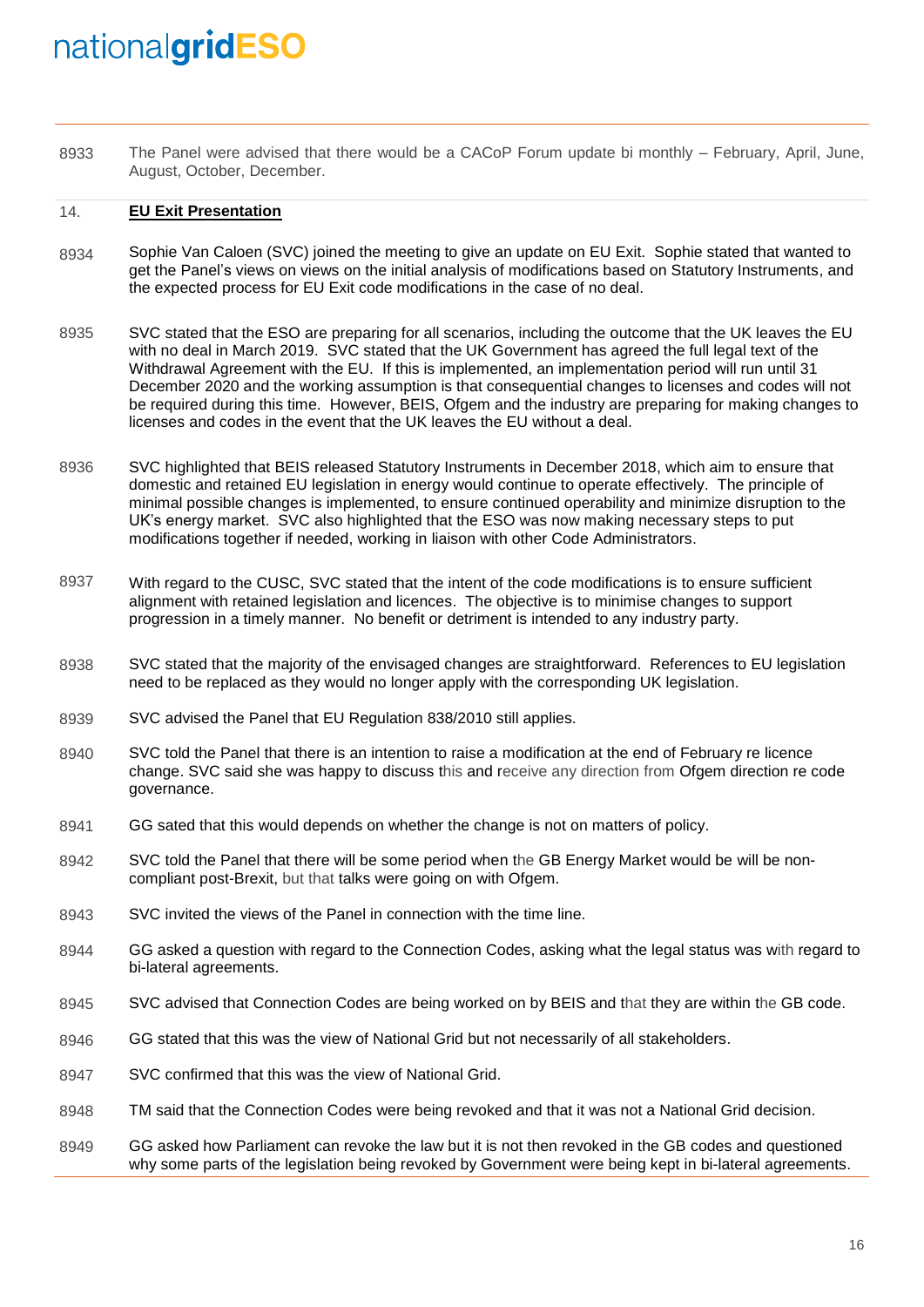8933 The Panel were advised that there would be a CACoP Forum update bi monthly – February, April, June, August, October, December.

#### 14. **EU Exit Presentation**

- 8934 Sophie Van Caloen (SVC) joined the meeting to give an update on EU Exit. Sophie stated that wanted to get the Panel's views on views on the initial analysis of modifications based on Statutory Instruments, and the expected process for EU Exit code modifications in the case of no deal.
- 8935 SVC stated that the ESO are preparing for all scenarios, including the outcome that the UK leaves the EU with no deal in March 2019. SVC stated that the UK Government has agreed the full legal text of the Withdrawal Agreement with the EU. If this is implemented, an implementation period will run until 31 December 2020 and the working assumption is that consequential changes to licenses and codes will not be required during this time. However, BEIS, Ofgem and the industry are preparing for making changes to licenses and codes in the event that the UK leaves the EU without a deal.
- 8936 SVC highlighted that BEIS released Statutory Instruments in December 2018, which aim to ensure that domestic and retained EU legislation in energy would continue to operate effectively. The principle of minimal possible changes is implemented, to ensure continued operability and minimize disruption to the UK's energy market. SVC also highlighted that the ESO was now making necessary steps to put modifications together if needed, working in liaison with other Code Administrators.
- 8937 With regard to the CUSC, SVC stated that the intent of the code modifications is to ensure sufficient alignment with retained legislation and licences. The objective is to minimise changes to support progression in a timely manner. No benefit or detriment is intended to any industry party.
- 8938 SVC stated that the majority of the envisaged changes are straightforward. References to EU legislation need to be replaced as they would no longer apply with the corresponding UK legislation.
- 8939 SVC advised the Panel that EU Regulation 838/2010 still applies.
- 8940 SVC told the Panel that there is an intention to raise a modification at the end of February re licence change. SVC said she was happy to discuss this and receive any direction from Ofgem direction re code governance.
- 8941 GG sated that this would depends on whether the change is not on matters of policy.
- 8942 SVC told the Panel that there will be some period when the GB Energy Market would be will be noncompliant post-Brexit, but that talks were going on with Ofgem.
- 8943 SVC invited the views of the Panel in connection with the time line.
- 8944 GG asked a question with regard to the Connection Codes, asking what the legal status was with regard to bi-lateral agreements.
- 8945 SVC advised that Connection Codes are being worked on by BEIS and that they are within the GB code.
- 8946 GG stated that this was the view of National Grid but not necessarily of all stakeholders.
- 8947 SVC confirmed that this was the view of National Grid.
- 8948 TM said that the Connection Codes were being revoked and that it was not a National Grid decision.
- 8949 GG asked how Parliament can revoke the law but it is not then revoked in the GB codes and questioned why some parts of the legislation being revoked by Government were being kept in bi-lateral agreements.